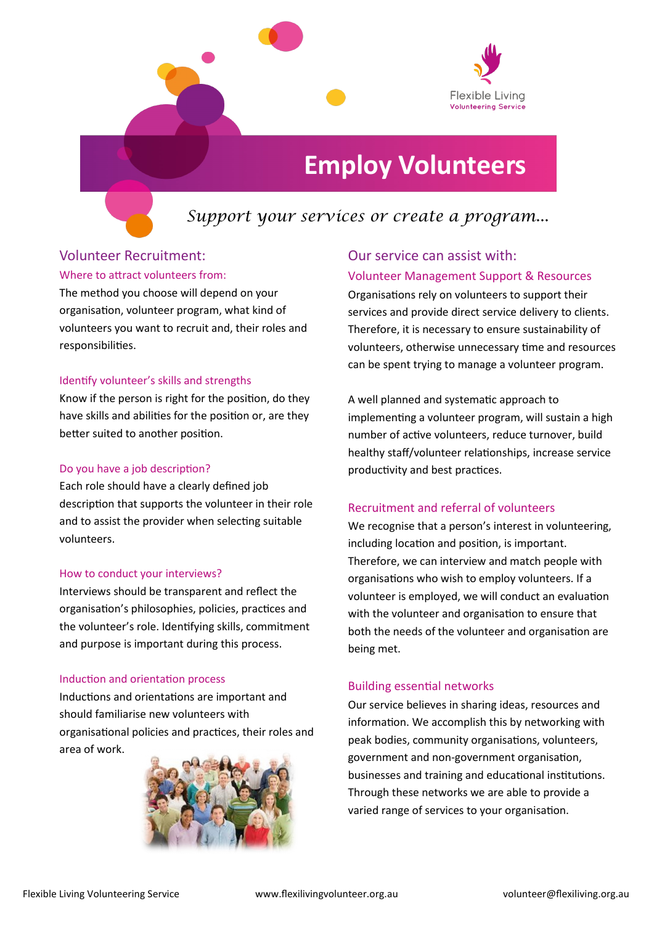

# **Employ Volunteers**

# *Support your services or create a program...*

### Volunteer Recruitment:

#### Where to attract volunteers from:

The method you choose will depend on your organisation, volunteer program, what kind of volunteers you want to recruit and, their roles and responsibilities.

#### Identify volunteer's skills and strengths

Know if the person is right for the position, do they have skills and abilities for the position or, are they better suited to another position.

#### Do you have a job description?

Each role should have a clearly defined job description that supports the volunteer in their role and to assist the provider when selecting suitable volunteers.

#### How to conduct your interviews?

Interviews should be transparent and reflect the organisation's philosophies, policies, practices and the volunteer's role. Identifying skills, commitment and purpose is important during this process.

#### Induction and orientation process

Inductions and orientations are important and should familiarise new volunteers with organisational policies and practices, their roles and area of work.



# Our service can assist with:

#### Volunteer Management Support & Resources

Organisations rely on volunteers to support their services and provide direct service delivery to clients. Therefore, it is necessary to ensure sustainability of volunteers, otherwise unnecessary time and resources can be spent trying to manage a volunteer program.

A well planned and systematic approach to implementing a volunteer program, will sustain a high number of active volunteers, reduce turnover, build healthy staff/volunteer relationships, increase service productivity and best practices.

#### Recruitment and referral of volunteers

We recognise that a person's interest in volunteering. including location and position, is important. Therefore, we can interview and match people with organisations who wish to employ volunteers. If a volunteer is employed, we will conduct an evaluation with the volunteer and organisation to ensure that both the needs of the volunteer and organisation are being met.

#### Building essential networks

Our service believes in sharing ideas, resources and information. We accomplish this by networking with peak bodies, community organisations, volunteers, government and non-government organisation, businesses and training and educational institutions. Through these networks we are able to provide a varied range of services to your organisation.